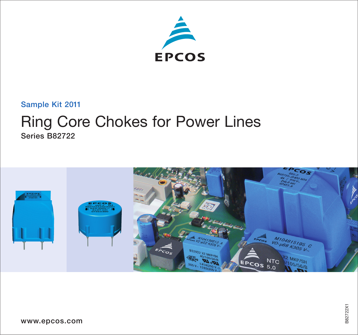

**Sample Kit 2011**

# Ring Core Chokes for Power Lines **Series B82722**